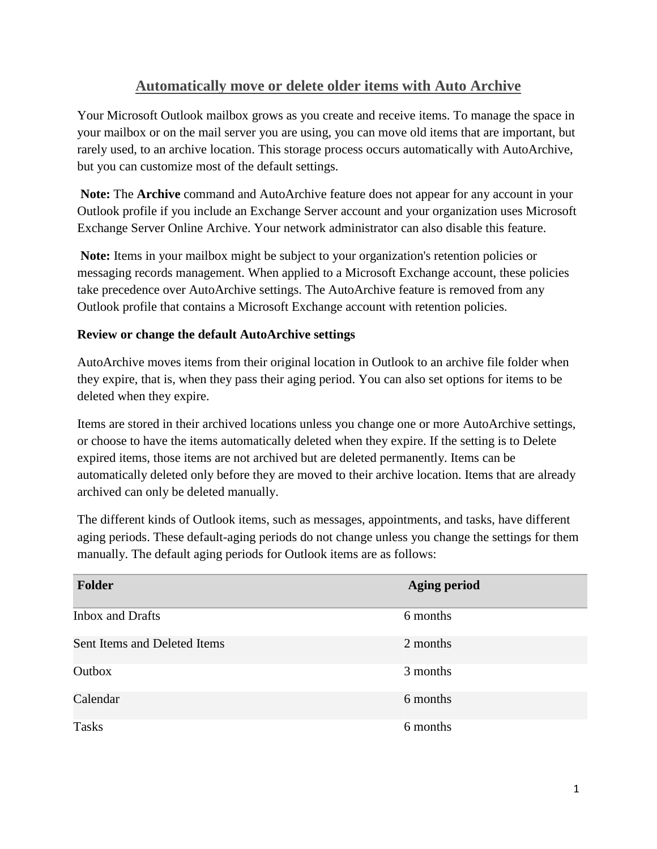## **Automatically move or delete older items with Auto Archive**

Your Microsoft Outlook mailbox grows as you create and receive items. To manage the space in your mailbox or on the mail server you are using, you can move old items that are important, but rarely used, to an archive location. This storage process occurs automatically with AutoArchive, but you can customize most of the default settings.

**Note:** The **Archive** command and AutoArchive feature does not appear for any account in your Outlook profile if you include an Exchange Server account and your organization uses Microsoft Exchange Server Online Archive. Your network administrator can also disable this feature.

**Note:** Items in your mailbox might be subject to your organization's retention policies or messaging records management. When applied to a Microsoft Exchange account, these policies take precedence over AutoArchive settings. The AutoArchive feature is removed from any Outlook profile that contains a Microsoft Exchange account with retention policies.

## **Review or change the default AutoArchive settings**

AutoArchive moves items from their original location in Outlook to an archive file folder when they expire, that is, when they pass their aging period. You can also set options for items to be deleted when they expire.

Items are stored in their archived locations unless you change one or more AutoArchive settings, or choose to have the items automatically deleted when they expire. If the setting is to Delete expired items, those items are not archived but are deleted permanently. Items can be automatically deleted only before they are moved to their archive location. Items that are already archived can only be deleted manually.

The different kinds of Outlook items, such as messages, appointments, and tasks, have different aging periods. These default-aging periods do not change unless you change the settings for them manually. The default aging periods for Outlook items are as follows:

| <b>Folder</b>                | <b>Aging period</b> |
|------------------------------|---------------------|
| <b>Inbox and Drafts</b>      | 6 months            |
| Sent Items and Deleted Items | 2 months            |
| Outbox                       | 3 months            |
| Calendar                     | 6 months            |
| <b>Tasks</b>                 | 6 months            |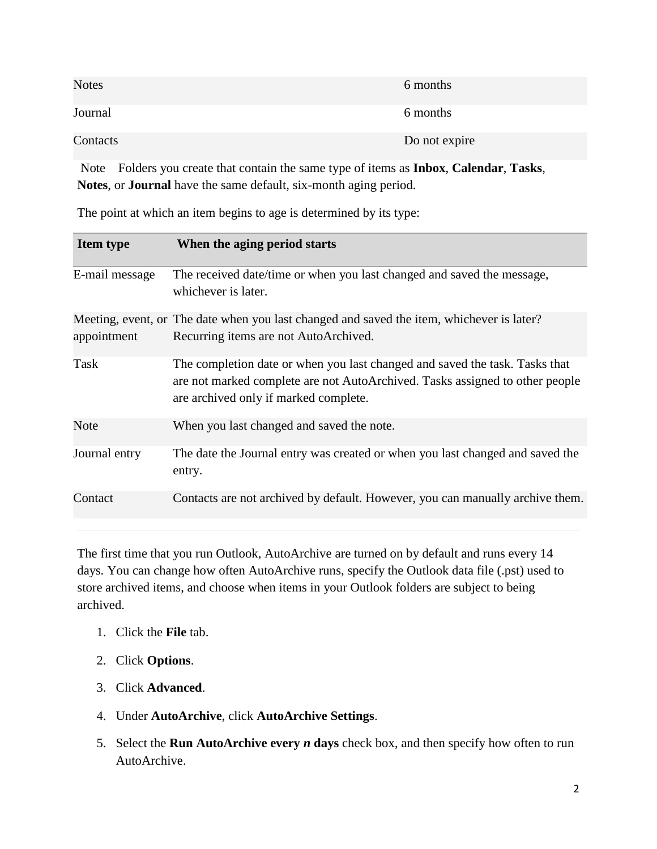| <b>Notes</b> | 6 months      |
|--------------|---------------|
| Journal      | 6 months      |
| Contacts     | Do not expire |

Note Folders you create that contain the same type of items as **Inbox**, **Calendar**, **Tasks**, **Notes**, or **Journal** have the same default, six-month aging period.

| <b>Item type</b> | When the aging period starts                                                                                                                                                                         |
|------------------|------------------------------------------------------------------------------------------------------------------------------------------------------------------------------------------------------|
| E-mail message   | The received date/time or when you last changed and saved the message,<br>whichever is later.                                                                                                        |
| appointment      | Meeting, event, or The date when you last changed and saved the item, whichever is later?<br>Recurring items are not AutoArchived.                                                                   |
| Task             | The completion date or when you last changed and saved the task. Tasks that<br>are not marked complete are not AutoArchived. Tasks assigned to other people<br>are archived only if marked complete. |
| Note             | When you last changed and saved the note.                                                                                                                                                            |
| Journal entry    | The date the Journal entry was created or when you last changed and saved the<br>entry.                                                                                                              |
| Contact          | Contacts are not archived by default. However, you can manually archive them.                                                                                                                        |

The point at which an item begins to age is determined by its type:

The first time that you run Outlook, AutoArchive are turned on by default and runs every 14 days. You can change how often AutoArchive runs, specify the Outlook data file (.pst) used to store archived items, and choose when items in your Outlook folders are subject to being archived.

- 1. Click the **File** tab.
- 2. Click **Options**.
- 3. Click **Advanced**.
- 4. Under **AutoArchive**, click **AutoArchive Settings**.
- 5. Select the **Run AutoArchive every** *n* **days** check box, and then specify how often to run AutoArchive.